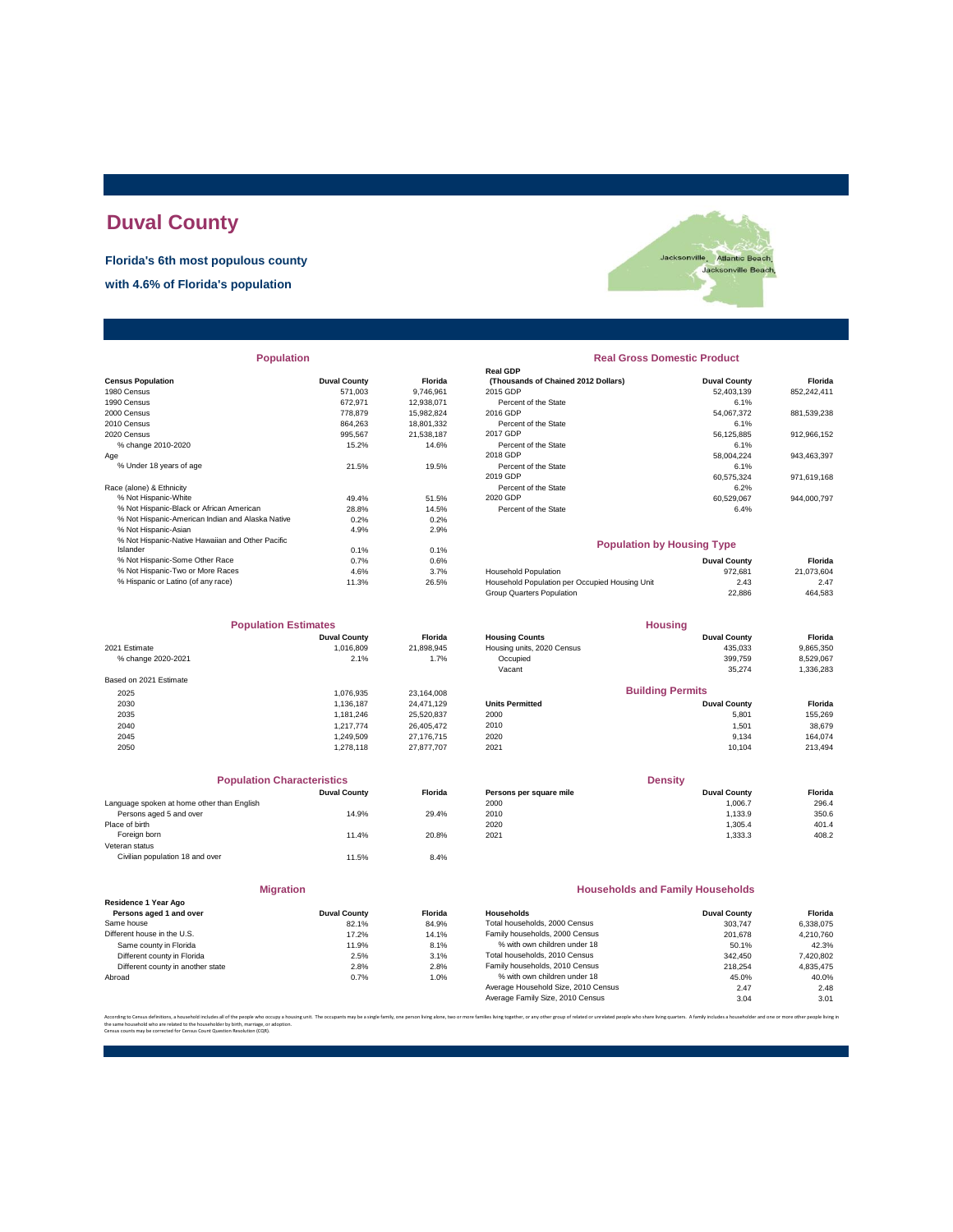# **Duval County**

**Florida's 6th most populous county**

**with 4.6% of Florida's population**



|  | <b>Population</b> |  |
|--|-------------------|--|
|  |                   |  |

|                                                  |                     |            | Redi ODF                                       |                     |             |
|--------------------------------------------------|---------------------|------------|------------------------------------------------|---------------------|-------------|
| <b>Census Population</b>                         | <b>Duval County</b> | Florida    | (Thousands of Chained 2012 Dollars)            | <b>Duval County</b> | Florida     |
| 1980 Census                                      | 571,003             | 9,746,961  | 2015 GDP                                       | 52,403,139          | 852,242,411 |
| 1990 Census                                      | 672,971             | 12,938,071 | Percent of the State                           | 6.1%                |             |
| 2000 Census                                      | 778,879             | 15,982,824 | 2016 GDP                                       | 54.067.372          | 881,539,238 |
| 2010 Census                                      | 864.263             | 18,801,332 | Percent of the State                           | 6.1%                |             |
| 2020 Census                                      | 995.567             | 21.538.187 | 2017 GDP                                       | 56.125.885          | 912,966,152 |
| % change 2010-2020                               | 15.2%               | 14.6%      | Percent of the State                           | 6.1%                |             |
| Age                                              |                     |            | 2018 GDP                                       | 58,004,224          | 943,463,397 |
| % Under 18 years of age                          | 21.5%               | 19.5%      | Percent of the State                           | 6.1%                |             |
|                                                  |                     |            | 2019 GDP                                       | 60.575.324          | 971,619,168 |
| Race (alone) & Ethnicity                         |                     |            | Percent of the State                           | 6.2%                |             |
| % Not Hispanic-White                             | 49.4%               | 51.5%      | 2020 GDP                                       | 60,529,067          | 944,000,797 |
| % Not Hispanic-Black or African American         | 28.8%               | 14.5%      | Percent of the State                           | 6.4%                |             |
| % Not Hispanic-American Indian and Alaska Native | 0.2%                | 0.2%       |                                                |                     |             |
| % Not Hispanic-Asian                             | 4.9%                | 2.9%       |                                                |                     |             |
| % Not Hispanic-Native Hawaiian and Other Pacific |                     |            | <b>Population by Housing Type</b>              |                     |             |
| Islander                                         | 0.1%                | 0.1%       |                                                |                     |             |
| % Not Hispanic-Some Other Race                   | 0.7%                | 0.6%       |                                                | <b>Duval County</b> | Florida     |
| % Not Hispanic-Two or More Races                 | 4.6%                | 3.7%       | <b>Household Population</b>                    | 972.681             | 21,073,604  |
| % Hispanic or Latino (of any race)               | 11.3%               | 26.5%      | Household Population per Occupied Housing Unit | 2.43                | 2.47        |
|                                                  |                     |            |                                                |                     |             |

| <b>Population Estimates</b> |                     |            | <b>Housing</b>             |                         |           |
|-----------------------------|---------------------|------------|----------------------------|-------------------------|-----------|
|                             | <b>Duval County</b> | Florida    | <b>Housing Counts</b>      | <b>Duval County</b>     | Florida   |
| 2021 Estimate               | 1,016,809           | 21,898,945 | Housing units, 2020 Census | 435,033                 | 9,865,350 |
| % change 2020-2021          | 2.1%                | 1.7%       | Occupied                   | 399.759                 | 8,529,067 |
|                             |                     |            | Vacant                     | 35.274                  | 1,336,283 |
| Based on 2021 Estimate      |                     |            |                            |                         |           |
| 2025                        | 1.076.935           | 23.164.008 |                            | <b>Building Permits</b> |           |
| 2030                        | 1.136.187           | 24.471.129 | <b>Units Permitted</b>     | <b>Duval County</b>     | Florida   |
| 2035                        | 1,181,246           | 25,520,837 | 2000                       | 5,801                   | 155,269   |
| 2040                        | 1.217.774           | 26.405.472 | 2010                       | 1,501                   | 38,679    |
| 2045                        | 1.249.509           | 27.176.715 | 2020                       | 9,134                   | 164.074   |
| 2050                        | 1.278.118           | 27.877.707 | 2021                       | 10.104                  | 213,494   |

| <b>Population Characteristics</b>          |                     |                |
|--------------------------------------------|---------------------|----------------|
|                                            | <b>Duval County</b> | <b>Florida</b> |
| Language spoken at home other than English |                     |                |
| Persons aged 5 and over                    | 14.9%               | 29.4%          |
| Place of birth                             |                     |                |
| Foreign born                               | 11.4%               | 20.8%          |
| Veteran status                             |                     |                |
| Civilian population 18 and over            | 11.5%               | 8.4%           |
|                                            |                     |                |

|                                                 | <b>Migration</b>    |        |
|-------------------------------------------------|---------------------|--------|
| Residence 1 Year Ago<br>Persons aged 1 and over | <b>Duval County</b> | Florid |
| Same house                                      | 82.1%               | 84.9   |
| Different house in the U.S.                     | 17.2%               | 14.1   |
| Same county in Florida                          | 11.9%               | 8.1    |
| Different county in Florida                     | 2.5%                | 3.1    |
| Different county in another state               | 2.8%                | 2.8    |
| Abroad                                          | 0.7%                | 1.0    |
|                                                 |                     |        |

| <b>Population</b> |                     |                  | <b>Real Gross Domestic Product</b>  |                     |             |  |  |  |
|-------------------|---------------------|------------------|-------------------------------------|---------------------|-------------|--|--|--|
|                   |                     |                  | <b>Real GDP</b>                     |                     |             |  |  |  |
|                   | <b>Duval County</b> | <b>Florida</b>   | (Thousands of Chained 2012 Dollars) | <b>Duval County</b> | Florida     |  |  |  |
|                   | 571.003             | 9,746,961        | 2015 GDP                            | 52,403,139          | 852,242,411 |  |  |  |
|                   | 672.971             | 12,938,071       | Percent of the State                | 6.1%                |             |  |  |  |
|                   | 778,879             | 15,982,824       | 2016 GDP                            | 54,067,372          | 881,539,238 |  |  |  |
|                   | 864.263             | 18,801,332       | Percent of the State                | 6.1%                |             |  |  |  |
|                   | 995.567             | 21.538.187       | 2017 GDP                            | 56,125,885          | 912,966,152 |  |  |  |
|                   | 15.2%               | 14.6%            | Percent of the State                | 6.1%                |             |  |  |  |
|                   |                     |                  | 2018 GDP                            | 58,004,224          | 943,463,397 |  |  |  |
|                   | 21.5%               | 19.5%            | Percent of the State                | 6.1%                |             |  |  |  |
|                   |                     |                  | 2019 GDP                            | 60.575.324          | 971,619,168 |  |  |  |
|                   |                     |                  | Percent of the State                | 6.2%                |             |  |  |  |
|                   | 49.4%               | 51.5%            | 2020 GDP                            | 60,529,067          | 944,000,797 |  |  |  |
| n                 | 28.8%               | 14.5%            | Percent of the State                | 6.4%                |             |  |  |  |
| ska Native        | 0.2%                | 0.2%             |                                     |                     |             |  |  |  |
|                   | $A$ 00/             | 200 <sup>2</sup> |                                     |                     |             |  |  |  |

## **Population by Housing Type**

| % Not Hispanic-Some Other Race     | $0.7\%$ | 0.6%  |                                                | <b>Duval County</b> | Florida    |
|------------------------------------|---------|-------|------------------------------------------------|---------------------|------------|
| % Not Hispanic-Two or More Races   | 4.6%    | 3.7%  | <b>Household Population</b>                    | 972.681             | 21.073.604 |
| % Hispanic or Latino (of any race) | 1.3%    | 26.5% | Household Population per Occupied Housing Unit | 2.43                | 2.47       |
|                                    |         |       | Group Quarters Population                      | 22.886              | 464.583    |
|                                    |         |       |                                                |                     |            |

| <b>Population Estimates</b> |                     |                | <b>Housing</b>             |                         |           |
|-----------------------------|---------------------|----------------|----------------------------|-------------------------|-----------|
|                             | <b>Duval County</b> | <b>Florida</b> | <b>Housing Counts</b>      | <b>Duval County</b>     | Florida   |
| 2021 Estimate               | 1.016.809           | 21.898.945     | Housing units, 2020 Census | 435.033                 | 9,865,350 |
| % change 2020-2021          | 2.1%                | 1.7%           | Occupied                   | 399.759                 | 8,529,067 |
|                             |                     |                | Vacant                     | 35.274                  | 1,336,283 |
| Based on 2021 Estimate      |                     |                |                            |                         |           |
| 2025                        | 1.076.935           | 23.164.008     |                            | <b>Building Permits</b> |           |
| 2030                        | 1.136.187           | 24.471.129     | <b>Units Permitted</b>     | <b>Duval County</b>     | Florida   |
| 2035                        | 1.181.246           | 25,520,837     | 2000                       | 5.801                   | 155.269   |
| 2040                        | 1.217.774           | 26.405.472     | 2010                       | 1,501                   | 38,679    |
| 2045                        | 1 249 509           | 27 176 715     | 2020                       | $Q$ 13 $A$              | 164.074   |

| <b>Population Characteristics</b>          |                |                         | <b>Density</b>      |         |
|--------------------------------------------|----------------|-------------------------|---------------------|---------|
| <b>Duval County</b>                        | <b>Florida</b> | Persons per square mile | <b>Duval County</b> | Florida |
| Language spoken at home other than English |                | 2000                    | 1,006.7             | 296.4   |
| 14.9%                                      | 29.4%          | 2010                    | 1.133.9             | 350.6   |
|                                            |                | 2020                    | 1.305.4             | 401.4   |
| 11.4%                                      | 20.8%          | 2021                    | 1.333.3             | 408.2   |
|                                            |                |                         |                     |         |

## **Households and Family Households**

| Residence 1 Year Ago              |                     |                |                                     |                     |           |
|-----------------------------------|---------------------|----------------|-------------------------------------|---------------------|-----------|
| Persons aged 1 and over           | <b>Duval County</b> | <b>Florida</b> | Households                          | <b>Duval County</b> | Florida   |
| Same house                        | 82.1%               | 84.9%          | Total households, 2000 Census       | 303.747             | 6.338.075 |
| Different house in the U.S.       | 17.2%               | 14.1%          | Family households, 2000 Census      | 201.678             | 4.210.760 |
| Same county in Florida            | 11.9%               | 8.1%           | % with own children under 18        | 50.1%               | 42.3%     |
| Different county in Florida       | 2.5%                | 3.1%           | Total households, 2010 Census       | 342.450             | 7,420,802 |
| Different county in another state | 2.8%                | 2.8%           | Family households, 2010 Census      | 218.254             | 4.835.475 |
| Abroad                            | 0.7%                | 1.0%           | % with own children under 18        | 45.0%               | 40.0%     |
|                                   |                     |                | Average Household Size, 2010 Census | 2.47                | 2.48      |
|                                   |                     |                | Average Family Size, 2010 Census    | 3.04                | 3.01      |
|                                   |                     |                |                                     |                     |           |

other group of related or unrelated people who share living quarters. A family includes a householder and one or r the same household who are related to the householder by birth, marriage, or adoption. Census counts may be corrected for Census Count Question Resolution (CQR).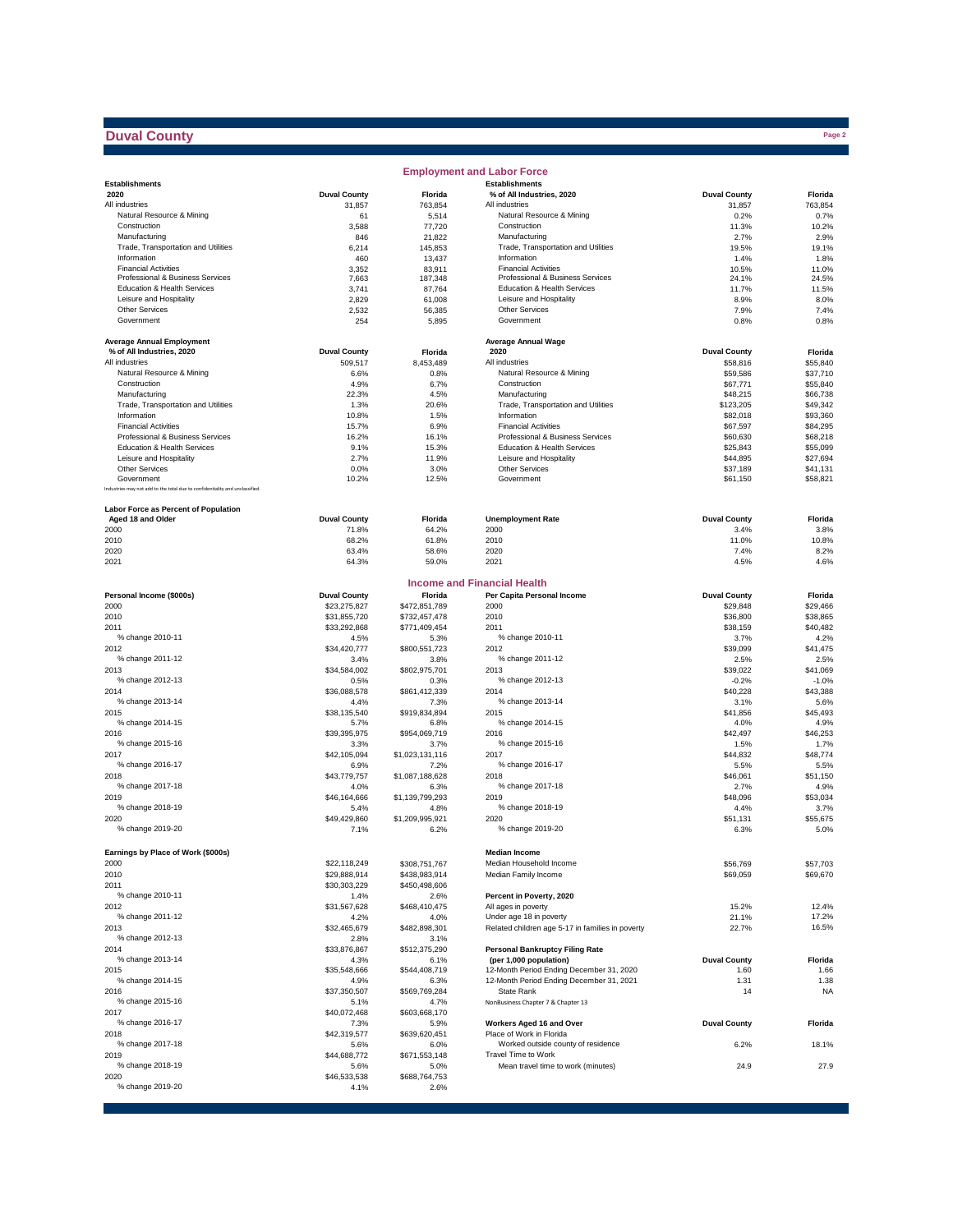## **Duval County**

|                                                                              |                      |                         | <b>Employment and Labor Force</b>                |                      |                      |
|------------------------------------------------------------------------------|----------------------|-------------------------|--------------------------------------------------|----------------------|----------------------|
| <b>Establishments</b>                                                        |                      |                         | <b>Establishments</b>                            |                      |                      |
| 2020                                                                         | <b>Duval County</b>  | Florida                 | % of All Industries, 2020                        | <b>Duval County</b>  | Florida              |
| All industries                                                               | 31,857               | 763,854                 | All industries                                   | 31,857               | 763,854              |
| Natural Resource & Mining                                                    | 61                   | 5,514                   | Natural Resource & Mining                        | 0.2%                 | 0.7%                 |
| Construction                                                                 | 3,588                | 77,720                  | Construction<br>Manufacturing                    | 11.3%<br>2.7%        | 10.2%<br>2.9%        |
| Manufacturing<br>Trade, Transportation and Utilities                         | 846<br>6,214         | 21,822<br>145,853       | Trade, Transportation and Utilities              | 19.5%                | 19.1%                |
| Information                                                                  | 460                  | 13,437                  | Information                                      | 1.4%                 | 1.8%                 |
| <b>Financial Activities</b>                                                  | 3,352                | 83,911                  | <b>Financial Activities</b>                      | 10.5%                | 11.0%                |
| Professional & Business Services                                             | 7,663                | 187,348                 | Professional & Business Services                 | 24.1%                | 24.5%                |
| Education & Health Services                                                  | 3,741                | 87,764                  | Education & Health Services                      | 11.7%                | 11.5%                |
| Leisure and Hospitality                                                      | 2,829                | 61,008                  | Leisure and Hospitality                          | 8.9%                 | 8.0%                 |
| <b>Other Services</b>                                                        | 2,532                | 56,385                  | Other Services                                   | 7.9%                 | 7.4%                 |
| Government                                                                   | 254                  | 5,895                   | Government                                       | 0.8%                 | 0.8%                 |
| <b>Average Annual Employment</b>                                             |                      |                         | <b>Average Annual Wage</b>                       |                      |                      |
| % of All Industries, 2020                                                    | <b>Duval County</b>  | Florida                 | 2020                                             | <b>Duval County</b>  | Florida              |
| All industries                                                               | 509,517              | 8,453,489               | All industries                                   | \$58,816             | \$55,840             |
| Natural Resource & Mining                                                    | 6.6%                 | 0.8%                    | Natural Resource & Mining                        | \$59,586             | \$37,710             |
| Construction                                                                 | 4.9%                 | 6.7%                    | Construction                                     | \$67,771             | \$55,840             |
| Manufacturing                                                                | 22.3%                | 4.5%                    | Manufacturing                                    | \$48,215             | \$66,738             |
| Trade, Transportation and Utilities                                          | 1.3%                 | 20.6%                   | Trade, Transportation and Utilities              | \$123,205            | \$49,342             |
| Information<br><b>Financial Activities</b>                                   | 10.8%                | 1.5%                    | Information<br><b>Financial Activities</b>       | \$82,018             | \$93,360             |
| Professional & Business Services                                             | 15.7%<br>16.2%       | 6.9%<br>16.1%           | Professional & Business Services                 | \$67,597<br>\$60,630 | \$84,295<br>\$68,218 |
| Education & Health Services                                                  | 9.1%                 | 15.3%                   | Education & Health Services                      | \$25,843             | \$55,099             |
| Leisure and Hospitality                                                      | 2.7%                 | 11.9%                   | Leisure and Hospitality                          | \$44,895             | \$27,694             |
| <b>Other Services</b>                                                        | 0.0%                 | 3.0%                    | Other Services                                   | \$37,189             | \$41,131             |
| Government                                                                   | 10.2%                | 12.5%                   | Government                                       | \$61,150             | \$58,821             |
| Industries may not add to the total due to confidentiality and unclassified. |                      |                         |                                                  |                      |                      |
|                                                                              |                      |                         |                                                  |                      |                      |
| <b>Labor Force as Percent of Population</b>                                  |                      |                         |                                                  |                      |                      |
| Aged 18 and Older                                                            | <b>Duval County</b>  | Florida                 | <b>Unemployment Rate</b>                         | <b>Duval County</b>  | Florida              |
| 2000<br>2010                                                                 | 71.8%<br>68.2%       | 64.2%<br>61.8%          | 2000<br>2010                                     | 3.4%<br>11.0%        | 3.8%<br>10.8%        |
| 2020                                                                         | 63.4%                | 58.6%                   | 2020                                             | 7.4%                 | 8.2%                 |
| 2021                                                                         | 64.3%                | 59.0%                   | 2021                                             | 4.5%                 | 4.6%                 |
|                                                                              |                      |                         |                                                  |                      |                      |
|                                                                              |                      |                         | <b>Income and Financial Health</b>               |                      |                      |
| Personal Income (\$000s)                                                     | <b>Duval County</b>  | Florida                 | Per Capita Personal Income                       | <b>Duval County</b>  | Florida              |
| 2000                                                                         | \$23,275,827         | \$472,851,789           | 2000                                             | \$29,848             | \$29,466             |
| 2010                                                                         | \$31,855,720         | \$732,457,478           | 2010                                             | \$36,800             | \$38,865             |
| 2011                                                                         | \$33,292,868         | \$771,409,454           | 2011                                             | \$38,159             | \$40,482             |
| % change 2010-11                                                             | 4.5%                 | 5.3%                    | % change 2010-11                                 | 3.7%                 | 4.2%                 |
| 2012                                                                         | \$34,420,777         | \$800,551,723           | 2012                                             | \$39,099             | \$41,475             |
| % change 2011-12<br>2013                                                     | 3.4%                 | 3.8%                    | % change 2011-12<br>2013                         | 2.5%                 | 2.5%<br>\$41,069     |
| % change 2012-13                                                             | \$34,584,002         | \$802,975,701           | % change 2012-13                                 | \$39,022<br>$-0.2%$  | $-1.0%$              |
| 2014                                                                         | 0.5%<br>\$36,088,578 | 0.3%<br>\$861,412,339   | 2014                                             | \$40,228             | \$43,388             |
| % change 2013-14                                                             | 4.4%                 | 7.3%                    | % change 2013-14                                 | 3.1%                 | 5.6%                 |
| 2015                                                                         | \$38,135,540         | \$919,834,894           | 2015                                             | \$41,856             | \$45,493             |
| % change 2014-15                                                             | 5.7%                 | 6.8%                    | % change 2014-15                                 | 4.0%                 | 4.9%                 |
| 2016                                                                         | \$39,395,975         | \$954,069,719           | 2016                                             | \$42,497             | \$46,253             |
| % change 2015-16                                                             | 3.3%                 | 3.7%                    | % change 2015-16                                 | 1.5%                 | 1.7%                 |
| 2017                                                                         | \$42,105,094         | \$1,023,131,116         | 2017                                             | \$44,832             | \$48,774             |
| % change 2016-17                                                             | 6.9%                 | 7.2%                    | % change 2016-17                                 | 5.5%                 | 5.5%                 |
| 2018                                                                         | \$43,779,757         | \$1,087,188,628         | 2018                                             | \$46,061             | \$51,150             |
| % change 2017-18                                                             | 4.0%                 | 6.3%                    | % change 2017-18                                 | 2.7%                 | 4.9%                 |
| 2019                                                                         | \$46,164,666         | \$1,139,799,293         | 2019                                             | \$48,096             | \$53,034             |
| % change 2018-19                                                             | 5.4%                 | 4.8%                    | % change 2018-19                                 | 4.4%                 | 3.7%                 |
| 2020<br>% change 2019-20                                                     | \$49,429,860<br>7.1% | \$1,209,995,921<br>6.2% | 2020<br>% change 2019-20                         | \$51,131<br>6.3%     | \$55,675<br>5.0%     |
|                                                                              |                      |                         |                                                  |                      |                      |
| Earnings by Place of Work (\$000s)                                           |                      |                         | Median Income                                    |                      |                      |
| 2000                                                                         | \$22,118,249         | \$308,751,767           | Median Household Income                          | \$56,769             | \$57,703             |
| 2010                                                                         | \$29,888,914         | \$438,983,914           | Median Family Income                             | \$69,059             | \$69,670             |
| 2011                                                                         | \$30,303,229         | \$450,498,606           |                                                  |                      |                      |
| % change 2010-11                                                             | 1.4%                 | 2.6%                    | Percent in Poverty, 2020                         |                      |                      |
| 2012                                                                         | \$31,567,628         | \$468,410,475           | All ages in poverty                              | 15.2%                | 12.4%                |
| % change 2011-12                                                             | 4.2%                 | 4.0%                    | Under age 18 in poverty                          | 21.1%                | 17.2%                |
| 2013                                                                         | \$32,465,679         | \$482,898,301           | Related children age 5-17 in families in poverty | 22.7%                | 16.5%                |
| % change 2012-13                                                             | 2.8%                 | 3.1%                    |                                                  |                      |                      |
| 2014                                                                         | \$33,876,867         | \$512,375,290           | <b>Personal Bankruptcy Filing Rate</b>           |                      |                      |
| % change 2013-14                                                             | 4.3%                 | 6.1%                    | (per 1,000 population)                           | <b>Duval County</b>  | Florida              |
| 2015                                                                         | \$35,548,666         | \$544,408,719           | 12-Month Period Ending December 31, 2020         | 1.60                 | 1.66                 |
| % change 2014-15                                                             | 4.9%                 | 6.3%                    | 12-Month Period Ending December 31, 2021         | 1.31<br>14           | 1.38                 |
| 2016<br>% change 2015-16                                                     | \$37,350,507<br>5.1% | \$569,769,284<br>4.7%   | State Rank<br>NonBusiness Chapter 7 & Chapter 13 |                      | <b>NA</b>            |
| 2017                                                                         | \$40,072,468         | \$603,668,170           |                                                  |                      |                      |
| % change 2016-17                                                             | 7.3%                 | 5.9%                    | Workers Aged 16 and Over                         | <b>Duval County</b>  | Florida              |
| 2018                                                                         | \$42,319,577         | \$639,620,451           | Place of Work in Florida                         |                      |                      |
| % change 2017-18                                                             | 5.6%                 | 6.0%                    | Worked outside county of residence               | 6.2%                 | 18.1%                |
| 2019                                                                         | \$44,688,772         | \$671,553,148           | Travel Time to Work                              |                      |                      |
| % change 2018-19                                                             | 5.6%                 | 5.0%                    | Mean travel time to work (minutes)               | 24.9                 | 27.9                 |
| 2020                                                                         | \$46,533,538         | \$688,764,753           |                                                  |                      |                      |
| % change 2019-20                                                             | 4.1%                 | 2.6%                    |                                                  |                      |                      |